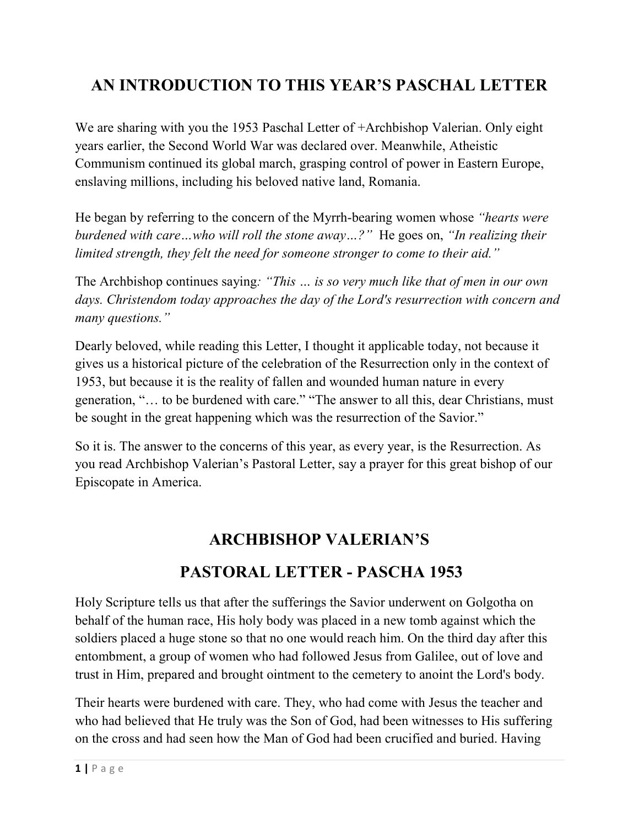## **AN INTRODUCTION TO THIS YEAR'S PASCHAL LETTER**

We are sharing with you the 1953 Paschal Letter of +Archbishop Valerian. Only eight years earlier, the Second World War was declared over. Meanwhile, Atheistic Communism continued its global march, grasping control of power in Eastern Europe, enslaving millions, including his beloved native land, Romania.

He began by referring to the concern of the Myrrh-bearing women whose *"hearts were burdened with care…who will roll the stone away…?"* He goes on, *"In realizing their limited strength, they felt the need for someone stronger to come to their aid."*

The Archbishop continues saying*: "This … is so very much like that of men in our own days. Christendom today approaches the day of the Lord's resurrection with concern and many questions."*

Dearly beloved, while reading this Letter, I thought it applicable today, not because it gives us a historical picture of the celebration of the Resurrection only in the context of 1953, but because it is the reality of fallen and wounded human nature in every generation, "… to be burdened with care." "The answer to all this, dear Christians, must be sought in the great happening which was the resurrection of the Savior."

So it is. The answer to the concerns of this year, as every year, is the Resurrection. As you read Archbishop Valerian's Pastoral Letter, say a prayer for this great bishop of our Episcopate in America.

## **ARCHBISHOP VALERIAN'S**

## **PASTORAL LETTER - PASCHA 1953**

Holy Scripture tells us that after the sufferings the Savior underwent on Golgotha on behalf of the human race, His holy body was placed in a new tomb against which the soldiers placed a huge stone so that no one would reach him. On the third day after this entombment, a group of women who had followed Jesus from Galilee, out of love and trust in Him, prepared and brought ointment to the cemetery to anoint the Lord's body.

Their hearts were burdened with care. They, who had come with Jesus the teacher and who had believed that He truly was the Son of God, had been witnesses to His suffering on the cross and had seen how the Man of God had been crucified and buried. Having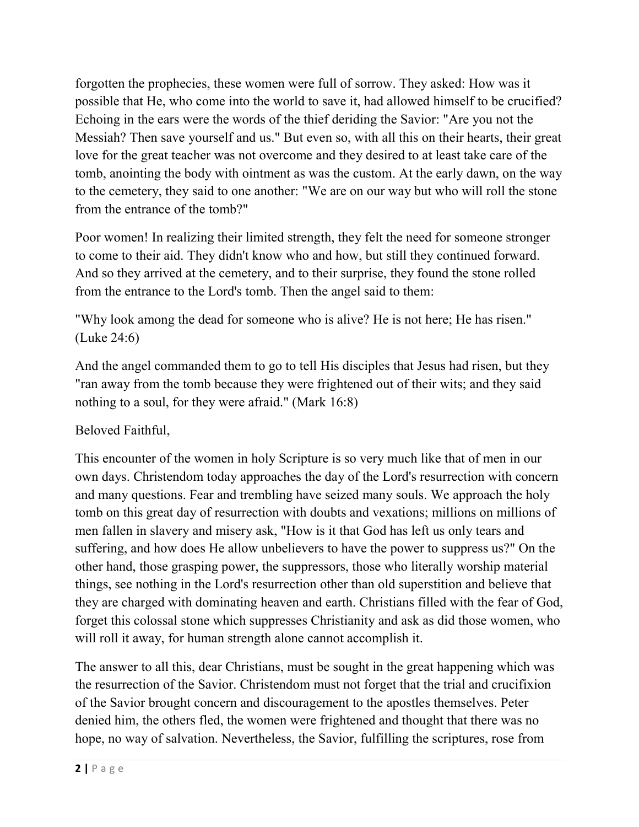forgotten the prophecies, these women were full of sorrow. They asked: How was it possible that He, who come into the world to save it, had allowed himself to be crucified? Echoing in the ears were the words of the thief deriding the Savior: "Are you not the Messiah? Then save yourself and us." But even so, with all this on their hearts, their great love for the great teacher was not overcome and they desired to at least take care of the tomb, anointing the body with ointment as was the custom. At the early dawn, on the way to the cemetery, they said to one another: "We are on our way but who will roll the stone from the entrance of the tomb?"

Poor women! In realizing their limited strength, they felt the need for someone stronger to come to their aid. They didn't know who and how, but still they continued forward. And so they arrived at the cemetery, and to their surprise, they found the stone rolled from the entrance to the Lord's tomb. Then the angel said to them:

"Why look among the dead for someone who is alive? He is not here; He has risen." (Luke 24:6)

And the angel commanded them to go to tell His disciples that Jesus had risen, but they "ran away from the tomb because they were frightened out of their wits; and they said nothing to a soul, for they were afraid." (Mark 16:8)

## Beloved Faithful,

This encounter of the women in holy Scripture is so very much like that of men in our own days. Christendom today approaches the day of the Lord's resurrection with concern and many questions. Fear and trembling have seized many souls. We approach the holy tomb on this great day of resurrection with doubts and vexations; millions on millions of men fallen in slavery and misery ask, "How is it that God has left us only tears and suffering, and how does He allow unbelievers to have the power to suppress us?" On the other hand, those grasping power, the suppressors, those who literally worship material things, see nothing in the Lord's resurrection other than old superstition and believe that they are charged with dominating heaven and earth. Christians filled with the fear of God, forget this colossal stone which suppresses Christianity and ask as did those women, who will roll it away, for human strength alone cannot accomplish it.

The answer to all this, dear Christians, must be sought in the great happening which was the resurrection of the Savior. Christendom must not forget that the trial and crucifixion of the Savior brought concern and discouragement to the apostles themselves. Peter denied him, the others fled, the women were frightened and thought that there was no hope, no way of salvation. Nevertheless, the Savior, fulfilling the scriptures, rose from